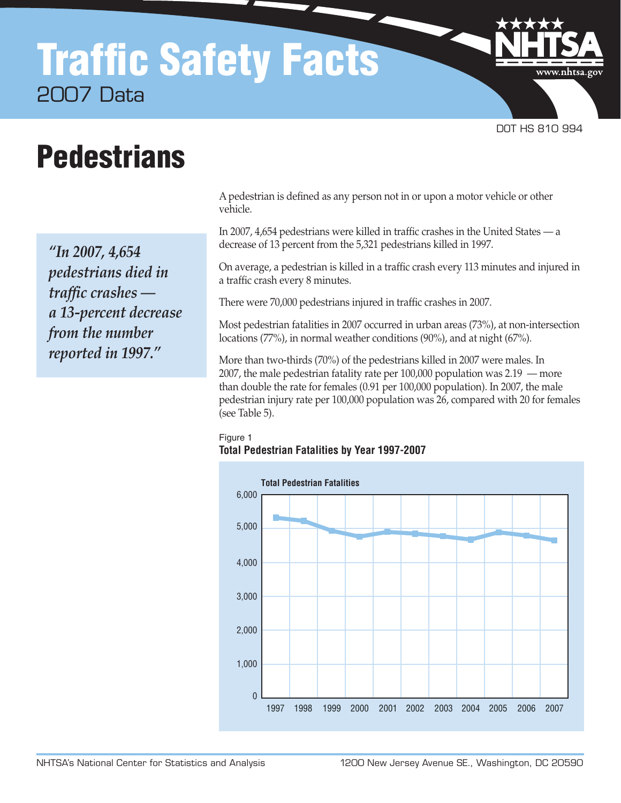# Traffic Safety Facts 2007 Data

DOT HS 810 994

www.nhtsa.go

# **Pedestrians**

*"In 2007, 4,654 pedestrians died in traffic crashes a 13-percent decrease from the number reported in 1997."*

A pedestrian is defined as any person not in or upon a motor vehicle or other vehicle.

In 2007, 4,654 pedestrians were killed in traffic crashes in the United States — a decrease of 13 percent from the 5,321 pedestrians killed in 1997.

On average, a pedestrian is killed in a traffic crash every 113 minutes and injured in a traffic crash every 8 minutes.

There were 70,000 pedestrians injured in traffic crashes in 2007.

Most pedestrian fatalities in 2007 occurred in urban areas (73%), at non-intersection locations (77%), in normal weather conditions (90%), and at night (67%).

More than two-thirds (70%) of the pedestrians killed in 2007 were males. In 2007, the male pedestrian fatality rate per 100,000 population was 2.19 — more than double the rate for females (0.91 per 100,000 population). In 2007, the male pedestrian injury rate per 100,000 population was 26, compared with 20 for females (see Table 5).

#### Figure 1 **Total Pedestrian Fatalities by Year 1997-2007**

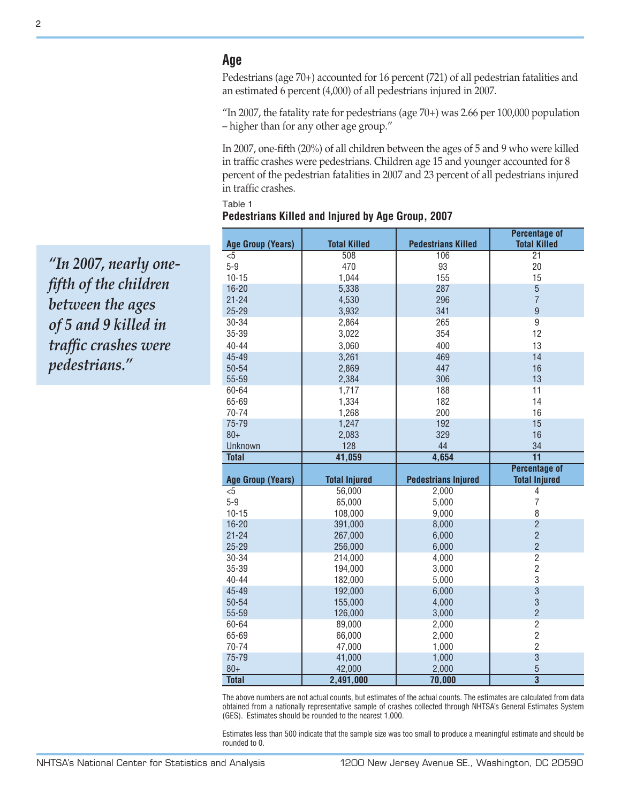# **Age**

Pedestrians (age 70+) accounted for 16 percent (721) of all pedestrian fatalities and an estimated 6 percent (4,000) of all pedestrians injured in 2007.

"In 2007, the fatality rate for pedestrians (age 70+) was 2.66 per 100,000 population – higher than for any other age group."

In 2007, one-fifth (20%) of all children between the ages of 5 and 9 who were killed in traffic crashes were pedestrians. Children age 15 and younger accounted for 8 percent of the pedestrian fatalities in 2007 and 23 percent of all pedestrians injured in traffic crashes.

|                          |                      |                            | <b>Percentage of</b>                        |
|--------------------------|----------------------|----------------------------|---------------------------------------------|
| <b>Age Group (Years)</b> | <b>Total Killed</b>  | <b>Pedestrians Killed</b>  | <b>Total Killed</b>                         |
| $<$ 5                    | 508                  | 106                        | 21                                          |
| $5-9$                    | 470                  | 93                         | 20                                          |
| $10 - 15$                | 1,044                | 155                        | 15                                          |
| $16 - 20$                | 5,338                | 287                        | $\overline{5}$                              |
| $21 - 24$                | 4,530                | 296                        | $\overline{7}$                              |
| $25 - 29$                | 3,932                | 341                        | $\overline{9}$                              |
| 30-34                    | 2,864                | 265                        | $\overline{9}$                              |
| 35-39                    | 3,022                | 354                        | 12                                          |
| $40 - 44$                | 3,060                | 400                        | 13                                          |
| 45-49                    | 3,261                | 469                        | 14                                          |
| 50-54                    | 2,869                | 447                        | 16                                          |
| 55-59                    | 2,384                | 306                        | 13                                          |
| 60-64                    | 1,717                | 188                        | 11                                          |
| 65-69                    | 1,334                | 182                        | 14                                          |
| 70-74                    | 1,268                | 200                        | 16                                          |
| 75-79                    | 1,247                | 192                        | 15                                          |
| $80 +$                   | 2,083                | 329                        | 16                                          |
| Unknown                  | 128                  | 44                         | 34                                          |
| <b>Total</b>             | 41,059               | 4,654                      | $\overline{11}$                             |
|                          |                      |                            | <b>Percentage of</b>                        |
| <b>Age Group (Years)</b> | <b>Total Injured</b> | <b>Pedestrians Injured</b> | <b>Total Injured</b>                        |
| $5$                      | 56,000               | 2,000                      | 4                                           |
| $5-9$                    | 65,000               | 5,000                      | $\overline{7}$                              |
| $10 - 15$                | 108,000              | 9,000                      | 8                                           |
| $16 - 20$                | 391,000              | 8,000                      | $\overline{2}$                              |
| $21 - 24$                | 267,000              | 6,000                      | $\overline{2}$                              |
| $25 - 29$                | 256,000              | 6,000                      | $\overline{2}$                              |
| 30-34                    | 214,000              | 4,000                      | $\overline{2}$                              |
| 35-39                    | 194,000              | 3,000                      | $\overline{2}$                              |
| 40-44                    | 182,000              | 5,000                      | 3                                           |
| 45-49                    | 192,000              | 6,000                      | $\overline{3}$                              |
| 50-54                    | 155,000              | 4,000                      | 3                                           |
| 55-59                    | 126,000              | 3,000                      | $\overline{2}$                              |
| 60-64                    | 89,000               | 2,000                      | $\overline{2}$                              |
| 65-69                    | 66,000               | 2,000                      | $\overline{c}$                              |
| 70-74                    | 47,000               | 1,000                      | $\overline{2}$                              |
| 75-79                    | 41,000               | 1,000                      | $\overline{3}$                              |
| $80+$                    |                      |                            |                                             |
| <b>Total</b>             | 42,000<br>2,491,000  | 2,000<br>70,000            | $\overline{5}$<br>$\overline{\overline{3}}$ |

| Table 1                                           |  |  |  |
|---------------------------------------------------|--|--|--|
| Pedestrians Killed and Injured by Age Group, 2007 |  |  |  |

The above numbers are not actual counts, but estimates of the actual counts. The estimates are calculated from data obtained from a nationally representative sample of crashes collected through NHTSA's General Estimates System (GES). Estimates should be rounded to the nearest 1,000.

Estimates less than 500 indicate that the sample size was too small to produce a meaningful estimate and should be rounded to 0.

*"In 2007, nearly onefifth of the children between the ages of 5 and 9 killed in traffic crashes were pedestrians."*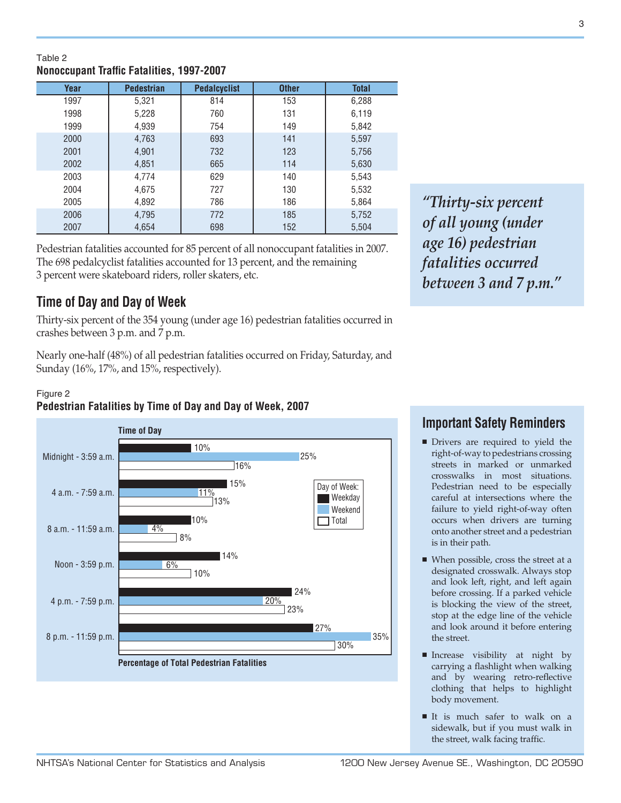# **Year Pedestrian Pedalcyclist Other Total**

**Nonoccupant Traffic Fatalities, 1997-2007**

Table 2

| 1997 | 5,321 | 814 | 153 | 6,288 |
|------|-------|-----|-----|-------|
| 1998 | 5,228 | 760 | 131 | 6,119 |
| 1999 | 4,939 | 754 | 149 | 5,842 |
| 2000 | 4,763 | 693 | 141 | 5,597 |
| 2001 | 4,901 | 732 | 123 | 5,756 |
| 2002 | 4,851 | 665 | 114 | 5,630 |
| 2003 | 4,774 | 629 | 140 | 5,543 |
| 2004 | 4,675 | 727 | 130 | 5,532 |
| 2005 | 4,892 | 786 | 186 | 5,864 |
| 2006 | 4,795 | 772 | 185 | 5,752 |
| 2007 | 4,654 | 698 | 152 | 5,504 |

Pedestrian fatalities accounted for 85 percent of all nonoccupant fatalities in 2007. The 698 pedalcyclist fatalities accounted for 13 percent, and the remaining 3 percent were skateboard riders, roller skaters, etc.

# **Time of Day and Day of Week**

Thirty-six percent of the 354 young (under age 16) pedestrian fatalities occurred in crashes between 3 p.m. and 7 p.m.

Nearly one-half (48%) of all pedestrian fatalities occurred on Friday, Saturday, and Sunday (16%, 17%, and 15%, respectively).

#### Figure 2 **Pedestrian Fatalities by Time of Day and Day of Week, 2007**



*"Thirty-six percent of all young (under age 16) pedestrian fatalities occurred between 3 and 7 p.m."* 

# **Important Safety Reminders**

- **n** Drivers are required to yield the right-of-way to pedestrians crossing streets in marked or unmarked crosswalks in most situations. Pedestrian need to be especially careful at intersections where the failure to yield right-of-way often occurs when drivers are turning onto another street and a pedestrian is in their path.
- $\blacksquare$  When possible, cross the street at a designated crosswalk. Always stop and look left, right, and left again before crossing. If a parked vehicle is blocking the view of the street, stop at the edge line of the vehicle and look around it before entering the street.
- **n** Increase visibility at night by carrying a flashlight when walking and by wearing retro-reflective clothing that helps to highlight body movement.
- It is much safer to walk on a sidewalk, but if you must walk in the street, walk facing traffic.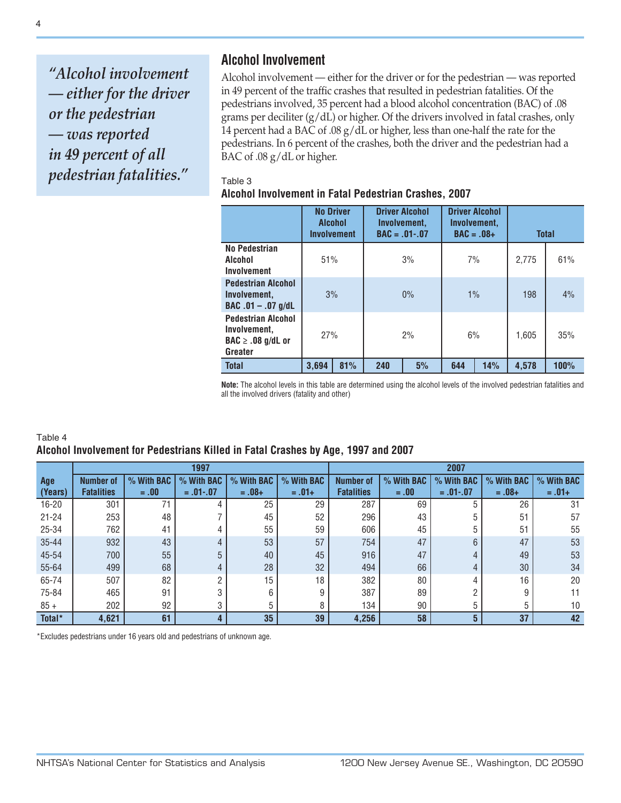*"Alcohol involvement — either for the driver or the pedestrian — was reported in 49 percent of all pedestrian fatalities."* 

# **Alcohol Involvement**

Alcohol involvement — either for the driver or for the pedestrian — was reported in 49 percent of the traffic crashes that resulted in pedestrian fatalities. Of the pedestrians involved, 35 percent had a blood alcohol concentration (BAC) of .08 grams per deciliter (g/dL) or higher. Of the drivers involved in fatal crashes, only 14 percent had a BAC of .08 g/dL or higher, less than one-half the rate for the pedestrians. In 6 percent of the crashes, both the driver and the pedestrian had a BAC of .08 g/dL or higher.

#### Table 3

#### **Alcohol Involvement in Fatal Pedestrian Crashes, 2007**

|                                                                                         | <b>No Driver</b><br><b>Alcohol</b><br><b>Involvement</b> |     |     | <b>Driver Alcohol</b><br>Involvement.<br>$BAC = .01-.07$ | <b>Driver Alcohol</b><br>Involvement.<br>$BAC = .08+$ |     | <b>Total</b> |      |
|-----------------------------------------------------------------------------------------|----------------------------------------------------------|-----|-----|----------------------------------------------------------|-------------------------------------------------------|-----|--------------|------|
| No Pedestrian<br>Alcohol<br>Involvement                                                 | 51%                                                      |     |     | 3%                                                       | 7%                                                    |     | 2.775        | 61%  |
| <b>Pedestrian Alcohol</b><br>Involvement.<br>$BAC .01 - .07 g/dL$                       | 3%                                                       |     |     | $0\%$<br>1%                                              |                                                       |     | 198          | 4%   |
| <b>Pedestrian Alcohol</b><br>Involvement,<br>$\mathsf{BAC} \geq .08$ g/dL or<br>Greater | 27%                                                      |     |     | 2%                                                       | 6%                                                    |     | 1.605        | 35%  |
| <b>Total</b>                                                                            | 3.694                                                    | 81% | 240 | 5%                                                       | 644                                                   | 14% | 4.578        | 100% |

**Note:** The alcohol levels in this table are determined using the alcohol levels of the involved pedestrian fatalities and all the involved drivers (fatality and other)

#### Table 4 **Alcohol Involvement for Pedestrians Killed in Fatal Crashes by Age, 1997 and 2007**

|           |                   |            | 1997           |            |            | 2007              |            |            |            |            |
|-----------|-------------------|------------|----------------|------------|------------|-------------------|------------|------------|------------|------------|
| Age       | <b>Number of</b>  | % With BAC | % With BAC     | % With BAC | % With BAC | <b>Number of</b>  | % With BAC | % With BAC | % With BAC | % With BAC |
| (Years)   | <b>Fatalities</b> | $=.00$     | $=.01-.07$     | $=.08+$    | $=.01+$    | <b>Fatalities</b> | $=.00$     | $=.01-.07$ | $=.08+$    | $=.01+$    |
| $16 - 20$ | 301               |            |                | 25         | 29         | 287               | 69         | 5          | 26         | 31         |
| $21 - 24$ | 253               | 48         |                | 45         | 52         | 296               | 43         | 5          | 51         | 57         |
| 25-34     | 762               | 41         |                | 55         | 59         | 606               | 45         | 5          | 51         | 55         |
| $35 - 44$ | 932               | 43         |                | 53         | 57         | 754               | 47         | 6          | 47         | 53         |
| 45-54     | 700               | 55         | 5              | 40         | 45         | 916               | 47         | 4          | 49         | 53         |
| 55-64     | 499               | 68         | $\overline{4}$ | 28         | 32         | 494               | 66         | 4          | 30         | 34         |
| 65-74     | 507               | 82         | <sub>n</sub>   | 15         | 18         | 382               | 80         | 4          | 16         | 20         |
| 75-84     | 465               | 91         |                | 6          |            | 387               | 89         |            | Ω          | 11         |
| $85 +$    | 202               | 92         | 3              | 5          |            | 134               | 90         | 5          | 5          | 10         |
| Total*    | 4,621             | 61         |                | 35         | 39         | 4,256             | 58         | 5          | 37         | 42         |

\*Excludes pedestrians under 16 years old and pedestrians of unknown age.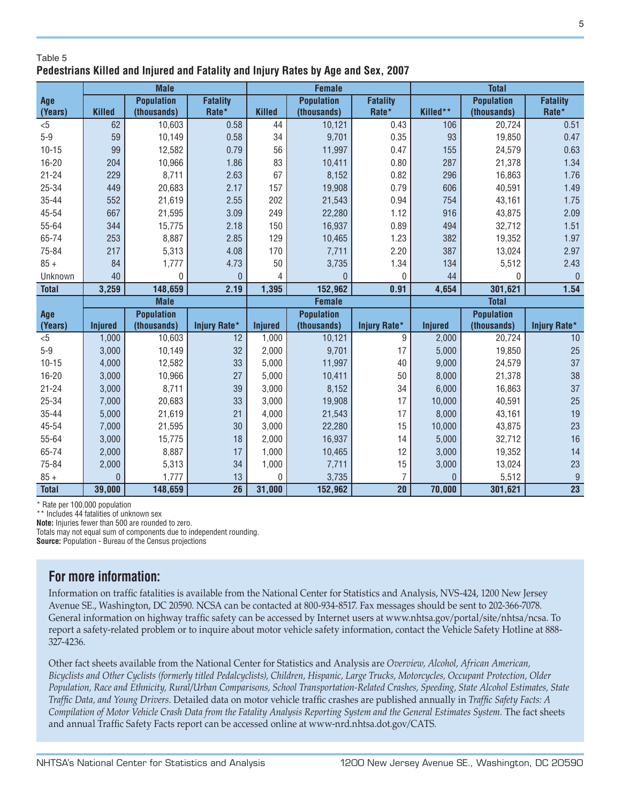### Table 5 **Pedestrians Killed and Injured and Fatality and Injury Rates by Age and Sex, 2007**

|              | <b>Male</b>    |                                  |                          |                | <b>Female</b>                    |                          |                | <b>Total</b>                     |                          |  |
|--------------|----------------|----------------------------------|--------------------------|----------------|----------------------------------|--------------------------|----------------|----------------------------------|--------------------------|--|
| Age          | <b>Killed</b>  | <b>Population</b><br>(thousands) | <b>Fatality</b><br>Rate* | <b>Killed</b>  | <b>Population</b><br>(thousands) | <b>Fatality</b><br>Rate* | Killed**       | <b>Population</b><br>(thousands) | <b>Fatality</b><br>Rate* |  |
| (Years)      |                |                                  |                          |                |                                  |                          |                |                                  |                          |  |
| $5$          | 62             | 10,603                           | 0.58                     | 44             | 10,121                           | 0.43                     | 106            | 20,724                           | 0.51                     |  |
| $5 - 9$      | 59             | 10,149                           | 0.58                     | 34             | 9,701                            | 0.35                     | 93             | 19,850                           | 0.47                     |  |
| $10 - 15$    | 99             | 12,582                           | 0.79                     | 56             | 11,997                           | 0.47                     | 155            | 24,579                           | 0.63                     |  |
| $16 - 20$    | 204            | 10,966                           | 1.86                     | 83             | 10,411                           | 0.80                     | 287            | 21,378                           | 1.34                     |  |
| $21 - 24$    | 229            | 8,711                            | 2.63                     | 67             | 8,152                            | 0.82                     | 296            | 16,863                           | 1.76                     |  |
| $25 - 34$    | 449            | 20,683                           | 2.17                     | 157            | 19,908                           | 0.79                     | 606            | 40,591                           | 1.49                     |  |
| $35 - 44$    | 552            | 21,619                           | 2.55                     | 202            | 21,543                           | 0.94                     | 754            | 43,161                           | 1.75                     |  |
| 45-54        | 667            | 21,595                           | 3.09                     | 249            | 22,280                           | 1.12                     | 916            | 43,875                           | 2.09                     |  |
| 55-64        | 344            | 15,775                           | 2.18                     | 150            | 16,937                           | 0.89                     | 494            | 32,712                           | 1.51                     |  |
| 65-74        | 253            | 8,887                            | 2.85                     | 129            | 10,465                           | 1.23                     | 382            | 19,352                           | 1.97                     |  |
| 75-84        | 217            | 5,313                            | 4.08                     | 170            | 7,711                            | 2.20                     | 387            | 13,024                           | 2.97                     |  |
| $85 +$       | 84             | 1,777                            | 4.73                     | 50             | 3,735                            | 1.34                     | 134            | 5,512                            | 2.43                     |  |
| Unknown      | 40             | $\Omega$                         | $\overline{0}$           | 4              | $\overline{0}$                   | $\mathbf{0}$             | 44             | $\Omega$                         | $\overline{0}$           |  |
| <b>Total</b> | 3,259          | 148,659                          | 2.19                     | 1,395          | 152,962                          | 0.91                     | 4,654          | 301,621                          | $\overline{1.54}$        |  |
|              |                | <b>Male</b>                      |                          |                | <b>Female</b>                    |                          |                | <b>Total</b>                     |                          |  |
| Age          |                | <b>Population</b>                |                          |                | <b>Population</b>                |                          |                | <b>Population</b>                |                          |  |
| (Years)      | <b>Injured</b> | (thousands)                      | <b>Injury Rate*</b>      | <b>Injured</b> | (thousands)                      | <b>Injury Rate*</b>      | <b>Injured</b> | (thousands)                      | <b>Injury Rate*</b>      |  |
| $5$          | 1,000          | 10,603                           | 12                       | 1,000          | 10,121                           | 9                        | 2,000          | 20,724                           | 10                       |  |
| $5-9$        | 3,000          | 10,149                           | 32                       | 2,000          | 9,701                            | 17                       | 5,000          | 19,850                           | 25                       |  |
| $10 - 15$    | 4,000          | 12,582                           | 33                       | 5,000          | 11,997                           | 40                       | 9,000          | 24,579                           | 37                       |  |
| $16 - 20$    | 3,000          | 10,966                           | 27                       | 5,000          | 10,411                           | 50                       | 8,000          | 21,378                           | 38                       |  |
| $21 - 24$    | 3,000          | 8,711                            | 39                       | 3,000          | 8,152                            | 34                       | 6,000          | 16,863                           | 37                       |  |
| 25-34        | 7,000          | 20,683                           | 33                       | 3,000          | 19,908                           | 17                       | 10,000         | 40,591                           | 25                       |  |
| $35 - 44$    | 5,000          | 21,619                           | 21                       | 4,000          | 21,543                           | 17                       | 8,000          | 43,161                           | 19                       |  |
| 45-54        | 7,000          | 21,595                           | 30                       | 3,000          | 22,280                           | 15                       | 10,000         | 43,875                           | 23                       |  |
| 55-64        | 3,000          | 15,775                           | 18                       | 2,000          | 16,937                           | 14                       | 5,000          | 32,712                           | 16                       |  |
| 65-74        | 2,000          | 8,887                            | 17                       | 1,000          | 10,465                           | 12                       | 3,000          | 19,352                           | 14                       |  |
| 75-84        | 2,000          | 5,313                            | 34                       | 1,000          | 7,711                            | 15                       | 3,000          | 13,024                           | 23                       |  |
| $85 +$       | $\overline{0}$ | 1,777                            | 13                       | 0              | 3,735                            | $\overline{7}$           | $\mathbf{0}$   | 5,512                            | 9                        |  |
| <b>Total</b> | 39,000         | 148,659                          | 26                       | 31,000         | 152,962                          | 20                       | 70,000         | 301,621                          | $\overline{23}$          |  |

\* Rate per 100,000 population

\*\* Includes 44 fatalities of unknown sex

**Note:** Injuries fewer than 500 are rounded to zero.

Totals may not equal sum of components due to independent rounding. **Source:** Population - Bureau of the Census projections

# **For more information:**

Information on traffic fatalities is available from the National Center for Statistics and Analysis, NVS-424, 1200 New Jersey Avenue SE., Washington, DC 20590. NCSA can be contacted at 800-934-8517. Fax messages should be sent to 202-366-7078. General information on highway traffic safety can be accessed by Internet users at www.nhtsa.gov/portal/site/nhtsa/ncsa. To report a safety-related problem or to inquire about motor vehicle safety information, contact the Vehicle Safety Hotline at 888- 327-4236.

Other fact sheets available from the National Center for Statistics and Analysis are *Overview, Alcohol, African American, Bicyclists and Other Cyclists (formerly titled Pedalcyclists), Children, Hispanic, Large Trucks, Motorcycles, Occupant Protection, Older Population, Race and Ethnicity, Rural/Urban Comparisons, School Transportation-Related Crashes, Speeding, State Alcohol Estimates, State Traffic Data, and Young Drivers.* Detailed data on motor vehicle traffic crashes are published annually in *Traffic Safety Facts: A Compilation of Motor Vehicle Crash Data from the Fatality Analysis Reporting System and the General Estimates System.* The fact sheets and annual Traffic Safety Facts report can be accessed online at www-nrd.nhtsa.dot.gov/CATS.